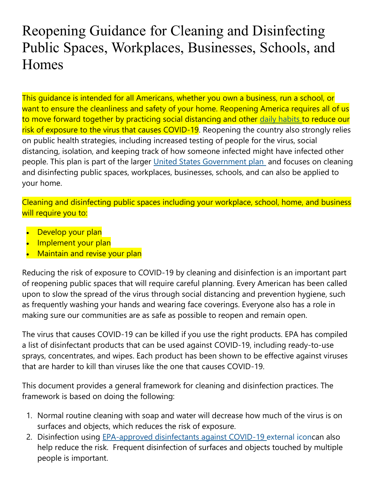# Reopening Guidance for Cleaning and Disinfecting Public Spaces, Workplaces, Businesses, Schools, and Homes

This guidance is intended for all Americans, whether you own a business, run a school, or want to ensure the cleanliness and safety of your home. Reopening America requires all of us to move forward together by practicing social distancing and other [daily habits](https://www.cdc.gov/coronavirus/2019-ncov/prevent-getting-sick/prevention.html) to reduce our risk of exposure to the virus that causes COVID-19. Reopening the country also strongly relies on public health strategies, including increased testing of people for the virus, social distancing, isolation, and keeping track of how someone infected might have infected other people. This plan is part of the larger [United States Government plan](https://www.whitehouse.gov/openingamerica/) and focuses on cleaning and disinfecting public spaces, workplaces, businesses, schools, and can also be applied to your home.

Cleaning and disinfecting public spaces including your workplace, school, home, and business will require you to:

- Develop your plan
- Implement your plan
- Maintain and revise your plan

Reducing the risk of exposure to COVID-19 by cleaning and disinfection is an important part of reopening public spaces that will require careful planning. Every American has been called upon to slow the spread of the virus through social distancing and prevention hygiene, such as frequently washing your hands and wearing face coverings. Everyone also has a role in making sure our communities are as safe as possible to reopen and remain open.

The virus that causes COVID-19 can be killed if you use the right products. EPA has compiled a list of disinfectant products that can be used against COVID-19, including ready-to-use sprays, concentrates, and wipes. Each product has been shown to be effective against viruses that are harder to kill than viruses like the one that causes COVID-19.

This document provides a general framework for cleaning and disinfection practices. The framework is based on doing the following:

- 1. Normal routine cleaning with soap and water will decrease how much of the virus is on surfaces and objects, which reduces the risk of exposure.
- 2. Disinfection using [EPA-approved disinfectants against COVID-19](https://www.epa.gov/pesticide-registration/list-n-disinfectants-use-against-sars-cov-2) external iconcan also help reduce the risk. Frequent disinfection of surfaces and objects touched by multiple people is important.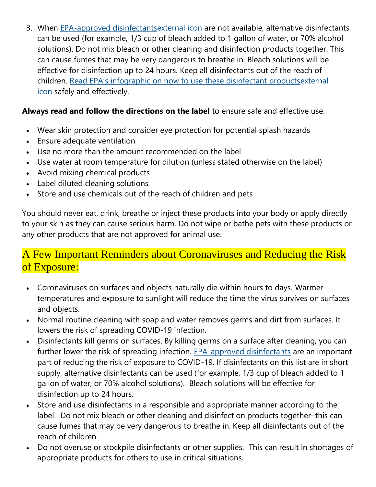3. When [EPA-approved disinfectantsexternal](https://www.epa.gov/pesticide-registration/list-n-disinfectants-use-against-sars-cov-2) icon are not available, alternative disinfectants can be used (for example, 1/3 cup of bleach added to 1 gallon of water, or 70% alcohol solutions). Do not mix bleach or other cleaning and disinfection products together. This can cause fumes that may be very dangerous to breathe in. Bleach solutions will be effective for disinfection up to 24 hours. Keep all disinfectants out of the reach of children. [Read EPA's infographic on how to use these disinfectant products](https://www.epa.gov/pesticide-registration/six-steps-safe-effective-disinfectant-use)external [icon](https://www.epa.gov/pesticide-registration/six-steps-safe-effective-disinfectant-use) safely and effectively.

### **Always read and follow the directions on the label** to ensure safe and effective use.

- Wear skin protection and consider eye protection for potential splash hazards
- Ensure adequate ventilation
- Use no more than the amount recommended on the label
- Use water at room temperature for dilution (unless stated otherwise on the label)
- Avoid mixing chemical products
- Label diluted cleaning solutions
- Store and use chemicals out of the reach of children and pets

You should never eat, drink, breathe or inject these products into your body or apply directly to your skin as they can cause serious harm. Do not wipe or bathe pets with these products or any other products that are not approved for animal use.

## A Few Important Reminders about Coronaviruses and Reducing the Risk of Exposure:

- Coronaviruses on surfaces and objects naturally die within hours to days. Warmer temperatures and exposure to sunlight will reduce the time the virus survives on surfaces and objects.
- Normal routine cleaning with soap and water removes germs and dirt from surfaces. It lowers the risk of spreading COVID-19 infection.
- Disinfectants kill germs on surfaces. By killing germs on a surface after cleaning, you can further lower the risk of spreading infection. [EPA-approved disinfectants](https://www.epa.gov/pesticide-registration/list-n-disinfectants-use-against-sars-cov-2) are an important part of reducing the risk of exposure to COVID-19. If disinfectants on this list are in short supply, alternative disinfectants can be used (for example, 1/3 cup of bleach added to 1 gallon of water, or 70% alcohol solutions). Bleach solutions will be effective for disinfection up to 24 hours.
- Store and use disinfectants in a responsible and appropriate manner according to the label. Do not mix bleach or other cleaning and disinfection products together–this can cause fumes that may be very dangerous to breathe in. Keep all disinfectants out of the reach of children.
- Do not overuse or stockpile disinfectants or other supplies. This can result in shortages of appropriate products for others to use in critical situations.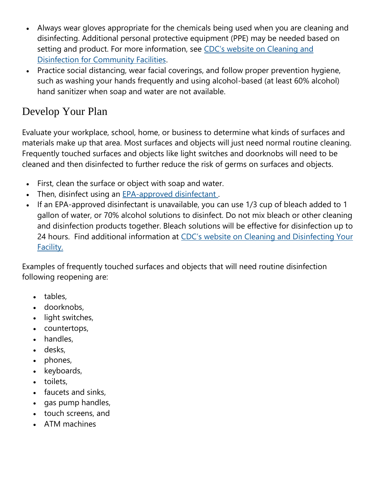- Always wear gloves appropriate for the chemicals being used when you are cleaning and disinfecting. Additional personal protective equipment (PPE) may be needed based on setting and product. For more information, see [CDC's website on Cleaning and](https://www.cdc.gov/coronavirus/2019-ncov/community/organizations/cleaning-disinfection.html)  [Disinfection for Community Facilities.](https://www.cdc.gov/coronavirus/2019-ncov/community/organizations/cleaning-disinfection.html)
- Practice social distancing, wear facial coverings, and follow proper prevention hygiene, such as washing your hands frequently and using alcohol-based (at least 60% alcohol) hand sanitizer when soap and water are not available.

# Develop Your Plan

Evaluate your workplace, school, home, or business to determine what kinds of surfaces and materials make up that area. Most surfaces and objects will just need normal routine cleaning. Frequently touched surfaces and objects like light switches and doorknobs will need to be cleaned and then disinfected to further reduce the risk of germs on surfaces and objects.

- First, clean the surface or object with soap and water.
- Then, disinfect using an [EPA-approved disinfectant](https://www.epa.gov/pesticide-registration/list-n-disinfectants-use-against-sars-cov-2) .
- If an EPA-approved disinfectant is unavailable, you can use 1/3 cup of bleach added to 1 gallon of water, or 70% alcohol solutions to disinfect. Do not mix bleach or other cleaning and disinfection products together. Bleach solutions will be effective for disinfection up to 24 hours. Find additional information at [CDC's website on Cleaning and Disinfecting Your](https://www.cdc.gov/coronavirus/2019-ncov/community/disinfecting-building-facility.html)  [Facility.](https://www.cdc.gov/coronavirus/2019-ncov/community/disinfecting-building-facility.html)

Examples of frequently touched surfaces and objects that will need routine disinfection following reopening are:

- tables,
- doorknobs,
- light switches,
- countertops,
- handles,
- desks,
- phones,
- keyboards,
- toilets,
- faucets and sinks,
- gas pump handles,
- touch screens, and
- ATM machines